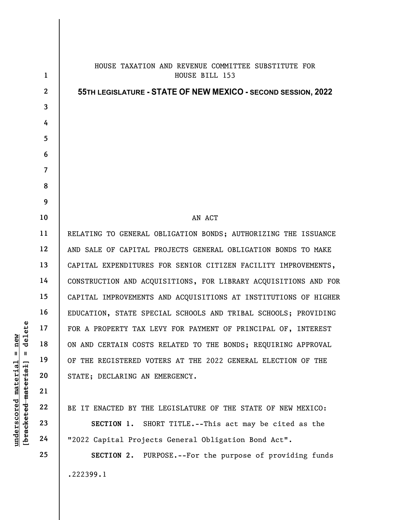|                                                           | $\mathbf{1}$   | HOUSE TAXATION AND REVENUE COMMITTEE SUBSTITUTE FOR<br>HOUSE BILL 153 |
|-----------------------------------------------------------|----------------|-----------------------------------------------------------------------|
|                                                           | $\mathbf{2}$   | 55TH LEGISLATURE - STATE OF NEW MEXICO - SECOND SESSION, 2022         |
|                                                           | 3              |                                                                       |
|                                                           | 4              |                                                                       |
|                                                           | 5              |                                                                       |
|                                                           | 6              |                                                                       |
|                                                           | $\overline{7}$ |                                                                       |
|                                                           | 8              |                                                                       |
|                                                           | 9              |                                                                       |
|                                                           | 10             | AN ACT                                                                |
|                                                           | 11             | RELATING TO GENERAL OBLIGATION BONDS; AUTHORIZING THE ISSUANCE        |
|                                                           | 12             | AND SALE OF CAPITAL PROJECTS GENERAL OBLIGATION BONDS TO MAKE         |
|                                                           | 13             | CAPITAL EXPENDITURES FOR SENIOR CITIZEN FACILITY IMPROVEMENTS,        |
|                                                           | 14             | CONSTRUCTION AND ACQUISITIONS, FOR LIBRARY ACQUISITIONS AND FOR       |
|                                                           | 15             | CAPITAL IMPROVEMENTS AND ACQUISITIONS AT INSTITUTIONS OF HIGHER       |
|                                                           | 16             | EDUCATION, STATE SPECIAL SCHOOLS AND TRIBAL SCHOOLS; PROVIDING        |
|                                                           | 17             | FOR A PROPERTY TAX LEVY FOR PAYMENT OF PRINCIPAL OF, INTEREST         |
| elete<br>new<br>ヮ                                         | 18             | ON AND CERTAIN COSTS RELATED TO THE BONDS; REQUIRING APPROVAL         |
| $^{\mathsf{II}}$<br>$\mathbf{I}$                          | 19             | OF THE REGISTERED VOTERS AT THE 2022 GENERAL ELECTION OF THE          |
| underscored material<br>[ <del>bracketed material</del> ] | 20             | STATE; DECLARING AN EMERGENCY.                                        |
|                                                           | 21             |                                                                       |
|                                                           | 22             | BE IT ENACTED BY THE LEGISLATURE OF THE STATE OF NEW MEXICO:          |
|                                                           | 23             | SHORT TITLE.--This act may be cited as the<br>SECTION 1.              |
|                                                           | 24             | "2022 Capital Projects General Obligation Bond Act".                  |
|                                                           | 25             | SECTION 2. PURPOSE.--For the purpose of providing funds               |
|                                                           |                |                                                                       |
|                                                           |                | .222399.1                                                             |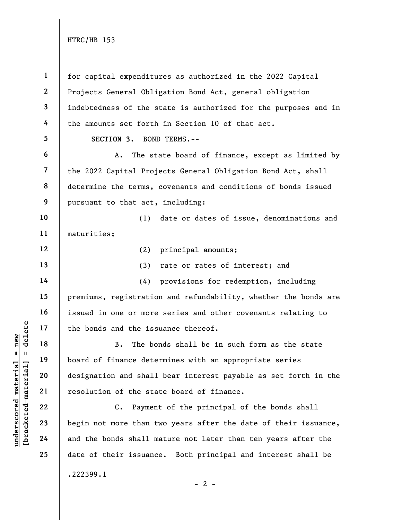underscored material = new [bracketed material] = delete 1 2 3 4 5 6 7 8 9 10 11 12 13 14 15 16 17 18 19 20 21 22 23 24 25 for capital expenditures as authorized in the 2022 Capital Projects General Obligation Bond Act, general obligation indebtedness of the state is authorized for the purposes and in the amounts set forth in Section 10 of that act. SECTION 3. BOND TERMS.-- A. The state board of finance, except as limited by the 2022 Capital Projects General Obligation Bond Act, shall determine the terms, covenants and conditions of bonds issued pursuant to that act, including: (1) date or dates of issue, denominations and maturities; (2) principal amounts; (3) rate or rates of interest; and (4) provisions for redemption, including premiums, registration and refundability, whether the bonds are issued in one or more series and other covenants relating to the bonds and the issuance thereof. B. The bonds shall be in such form as the state board of finance determines with an appropriate series designation and shall bear interest payable as set forth in the resolution of the state board of finance. C. Payment of the principal of the bonds shall begin not more than two years after the date of their issuance, and the bonds shall mature not later than ten years after the date of their issuance. Both principal and interest shall be .222399.1

 $- 2 -$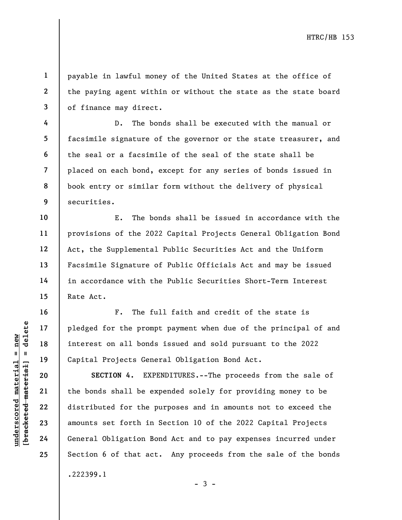payable in lawful money of the United States at the office of the paying agent within or without the state as the state board of finance may direct.

D. The bonds shall be executed with the manual or facsimile signature of the governor or the state treasurer, and the seal or a facsimile of the seal of the state shall be placed on each bond, except for any series of bonds issued in book entry or similar form without the delivery of physical securities.

E. The bonds shall be issued in accordance with the provisions of the 2022 Capital Projects General Obligation Bond Act, the Supplemental Public Securities Act and the Uniform Facsimile Signature of Public Officials Act and may be issued in accordance with the Public Securities Short-Term Interest Rate Act.

F. The full faith and credit of the state is pledged for the prompt payment when due of the principal of and interest on all bonds issued and sold pursuant to the 2022 Capital Projects General Obligation Bond Act.

underscore material material material experience of the promption of the promption of the promption of the capital Projects Geneter<br>definition of the properties of the properties of the second of the properties of the prop SECTION 4. EXPENDITURES.--The proceeds from the sale of the bonds shall be expended solely for providing money to be distributed for the purposes and in amounts not to exceed the amounts set forth in Section 10 of the 2022 Capital Projects General Obligation Bond Act and to pay expenses incurred under Section 6 of that act. Any proceeds from the sale of the bonds .222399.1

- 3 -

1

2

3

4

5

6

7

8

9

10

11

12

13

14

15

16

17

18

19

20

21

22

23

24

25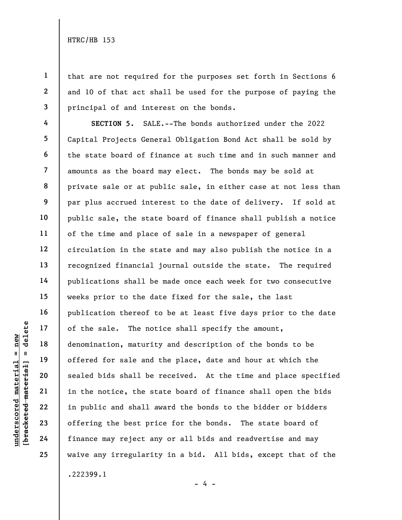1

2

3

4

5

6

7

8

9

10

11

12

13

14

15

16

17

18

19

20

21

22

23

24

25

that are not required for the purposes set forth in Sections 6 and 10 of that act shall be used for the purpose of paying the principal of and interest on the bonds.

understand of the sale. The not<br>
denomination, maturited material of the sale. The notice<br>
denomination, maturited material<br>  $\begin{array}{c|c} 20 & 21 & 11 & 19 \ 22 & 21 & 11 & 11 & 16 \ 23 & 24 & 25 & 11 & 11 & 16 \ 24 & 25 & 26 & 11 & 11 & 16 \ 25$ SECTION 5. SALE.--The bonds authorized under the 2022 Capital Projects General Obligation Bond Act shall be sold by the state board of finance at such time and in such manner and amounts as the board may elect. The bonds may be sold at private sale or at public sale, in either case at not less than par plus accrued interest to the date of delivery. If sold at public sale, the state board of finance shall publish a notice of the time and place of sale in a newspaper of general circulation in the state and may also publish the notice in a recognized financial journal outside the state. The required publications shall be made once each week for two consecutive weeks prior to the date fixed for the sale, the last publication thereof to be at least five days prior to the date of the sale. The notice shall specify the amount, denomination, maturity and description of the bonds to be offered for sale and the place, date and hour at which the sealed bids shall be received. At the time and place specified in the notice, the state board of finance shall open the bids in public and shall award the bonds to the bidder or bidders offering the best price for the bonds. The state board of finance may reject any or all bids and readvertise and may waive any irregularity in a bid. All bids, except that of the .222399.1

- 4 -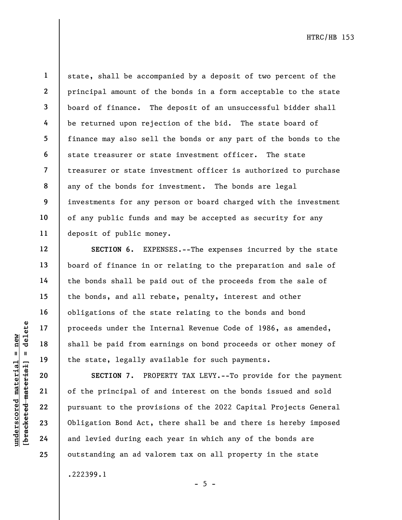17

18

19

20

21

22

23

24

25

1 state, shall be accompanied by a deposit of two percent of the principal amount of the bonds in a form acceptable to the state board of finance. The deposit of an unsuccessful bidder shall be returned upon rejection of the bid. The state board of finance may also sell the bonds or any part of the bonds to the state treasurer or state investment officer. The state treasurer or state investment officer is authorized to purchase any of the bonds for investment. The bonds are legal investments for any person or board charged with the investment of any public funds and may be accepted as security for any deposit of public money.

SECTION 6. EXPENSES.--The expenses incurred by the state board of finance in or relating to the preparation and sale of the bonds shall be paid out of the proceeds from the sale of the bonds, and all rebate, penalty, interest and other obligations of the state relating to the bonds and bond proceeds under the Internal Revenue Code of 1986, as amended, shall be paid from earnings on bond proceeds or other money of the state, legally available for such payments.

under the Indian of the Shall be paid from each shall be paid from each shall be paid from each shall be paid from each shall be paid from each shall be paid from each shall be paid from each shall be paid from each shall SECTION 7. PROPERTY TAX LEVY.--To provide for the payment of the principal of and interest on the bonds issued and sold pursuant to the provisions of the 2022 Capital Projects General Obligation Bond Act, there shall be and there is hereby imposed and levied during each year in which any of the bonds are outstanding an ad valorem tax on all property in the state

.222399.1

 $- 5 -$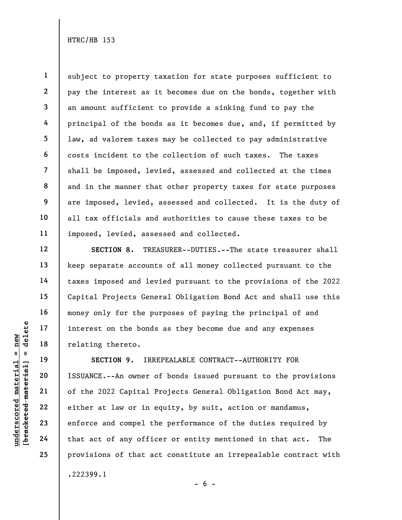1 2 3 4 5 6 7 8 9 10 11 subject to property taxation for state purposes sufficient to pay the interest as it becomes due on the bonds, together with an amount sufficient to provide a sinking fund to pay the principal of the bonds as it becomes due, and, if permitted by law, ad valorem taxes may be collected to pay administrative costs incident to the collection of such taxes. The taxes shall be imposed, levied, assessed and collected at the times and in the manner that other property taxes for state purposes are imposed, levied, assessed and collected. It is the duty of all tax officials and authorities to cause these taxes to be imposed, levied, assessed and collected.

SECTION 8. TREASURER--DUTIES.--The state treasurer shall keep separate accounts of all money collected pursuant to the taxes imposed and levied pursuant to the provisions of the 2022 Capital Projects General Obligation Bond Act and shall use this money only for the purposes of paying the principal of and interest on the bonds as they become due and any expenses relating thereto.

UN DEN TREE OF THE TREE OF THE TREE OF THE TREE OF THE TREE TREE OF THE UNIVER SECTION 9. IRRI<br>
UNIVER TREE TREE OF THE TREE OF THE TREE OF THE 2022 Capital F<br>
UNIVER TREE OF THE 2022 Capital F<br>
CONTRENSION OF THE 2022 Cap SECTION 9. IRREPEALABLE CONTRACT--AUTHORITY FOR ISSUANCE.--An owner of bonds issued pursuant to the provisions of the 2022 Capital Projects General Obligation Bond Act may, either at law or in equity, by suit, action or mandamus, enforce and compel the performance of the duties required by that act of any officer or entity mentioned in that act. The provisions of that act constitute an irrepealable contract with .222399.1

12

13

14

15

16

17

18

19

20

21

22

23

24

25

 $- 6 -$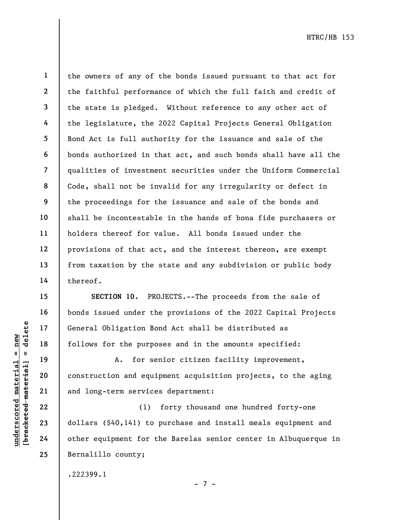1

2

3

4

5

6

7

8

9

10

11

12

13

14

15

16

17

18

19

20

21

22

23

24

25

the owners of any of the bonds issued pursuant to that act for the faithful performance of which the full faith and credit of the state is pledged. Without reference to any other act of the legislature, the 2022 Capital Projects General Obligation Bond Act is full authority for the issuance and sale of the bonds authorized in that act, and such bonds shall have all the qualities of investment securities under the Uniform Commercial Code, shall not be invalid for any irregularity or defect in the proceedings for the issuance and sale of the bonds and shall be incontestable in the hands of bona fide purchasers or holders thereof for value. All bonds issued under the provisions of that act, and the interest thereon, are exempt from taxation by the state and any subdivision or public body thereof.

SECTION 10. PROJECTS.--The proceeds from the sale of bonds issued under the provisions of the 2022 Capital Projects General Obligation Bond Act shall be distributed as follows for the purposes and in the amounts specified:

A. for senior citizen facility improvement, construction and equipment acquisition projects, to the aging and long-term services department:

understand to the purpose of the particle material of the particle material of the particle material and long-term service and equipment of the particle material dollars (\$40,141) to other equipment for the particle materi (1) forty thousand one hundred forty-one dollars (\$40,141) to purchase and install meals equipment and other equipment for the Barelas senior center in Albuquerque in Bernalillo county;

.222399.1

- 7 -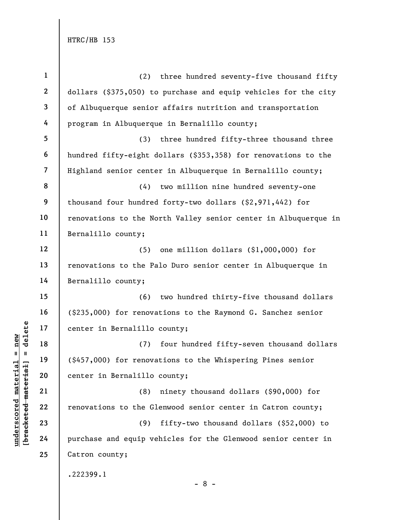|                                | $\mathbf{1}$   | three hundred seventy-five thousand fifty<br>(2)                |
|--------------------------------|----------------|-----------------------------------------------------------------|
|                                | $\overline{2}$ | dollars (\$375,050) to purchase and equip vehicles for the city |
|                                | 3              | of Albuquerque senior affairs nutrition and transportation      |
|                                | 4              | program in Albuquerque in Bernalillo county;                    |
|                                | 5              | three hundred fifty-three thousand three<br>(3)                 |
|                                | 6              | hundred fifty-eight dollars (\$353,358) for renovations to the  |
|                                | $\overline{7}$ | Highland senior center in Albuquerque in Bernalillo county;     |
|                                | 8              | (4)<br>two million nine hundred seventy-one                     |
|                                | 9              | thousand four hundred forty-two dollars (\$2,971,442) for       |
|                                | 10             | renovations to the North Valley senior center in Albuquerque in |
|                                | 11             | Bernalillo county;                                              |
|                                | 12             | one million dollars (\$1,000,000) for<br>(5)                    |
|                                | 13             | renovations to the Palo Duro senior center in Albuquerque in    |
|                                | 14             | Bernalillo county;                                              |
|                                | 15             | two hundred thirty-five thousand dollars<br>(6)                 |
|                                | 16             | (\$235,000) for renovations to the Raymond G. Sanchez senior    |
| delete                         | 17             | center in Bernalillo county;                                    |
| new<br>$\mathbf{II}$           | 18             | (7)<br>four hundred fifty-seven thousand dollars                |
| - II                           | 19             | (\$457,000) for renovations to the Whispering Pines senior      |
| materia<br>[bracketed material | 20             | center in Bernalillo county;                                    |
|                                | 21             | (8)<br>ninety thousand dollars (\$90,000) for                   |
| $\bm{{\rm underscore}}$        | 22             | renovations to the Glenwood senior center in Catron county;     |
|                                | 23             | (9)<br>fifty-two thousand dollars (\$52,000) to                 |
|                                | 24             | purchase and equip vehicles for the Glenwood senior center in   |
|                                | 25             | Catron county;                                                  |
|                                |                | .222399.1                                                       |

- 8 -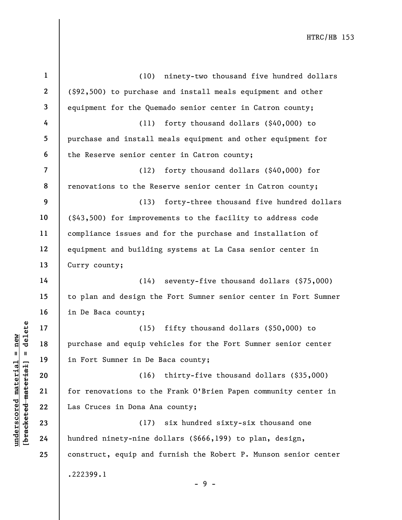|                                            | $\mathbf{1}$   | ninety-two thousand five hundred dollars<br>(10)                |
|--------------------------------------------|----------------|-----------------------------------------------------------------|
|                                            | $\mathbf{2}$   | (\$92,500) to purchase and install meals equipment and other    |
|                                            | 3              | equipment for the Quemado senior center in Catron county;       |
|                                            | 4              | forty thousand dollars (\$40,000) to<br>(11)                    |
|                                            | 5              | purchase and install meals equipment and other equipment for    |
|                                            | 6              | the Reserve senior center in Catron county;                     |
|                                            | $\overline{7}$ | forty thousand dollars (\$40,000) for<br>(12)                   |
|                                            | 8              | renovations to the Reserve senior center in Catron county;      |
|                                            | 9              | forty-three thousand five hundred dollars<br>(13)               |
|                                            | 10             | (\$43,500) for improvements to the facility to address code     |
|                                            | 11             | compliance issues and for the purchase and installation of      |
|                                            | 12             | equipment and building systems at La Casa senior center in      |
|                                            | 13             | Curry county;                                                   |
|                                            | 14             | (14) seventy-five thousand dollars (\$75,000)                   |
|                                            | 15             | to plan and design the Fort Sumner senior center in Fort Sumner |
|                                            | 16             | in De Baca county;                                              |
| delete                                     | 17             | fifty thousand dollars (\$50,000) to<br>(15)                    |
| new                                        | 18             | purchase and equip vehicles for the Fort Sumner senior center   |
| $\mathbf{II}$<br>- II                      | 19             | in Fort Sumner in De Baca county;                               |
| underscored materia<br>[bracketed material | 20             | (16)<br>thirty-five thousand dollars (\$35,000)                 |
|                                            | 21             | for renovations to the Frank O'Brien Papen community center in  |
|                                            | 22             | Las Cruces in Dona Ana county;                                  |
|                                            | 23             | six hundred sixty-six thousand one<br>(17)                      |
|                                            | 24             | hundred ninety-nine dollars (\$666,199) to plan, design,        |
|                                            | 25             | construct, equip and furnish the Robert P. Munson senior center |
|                                            |                | .222399.1                                                       |
|                                            |                | $-9-$                                                           |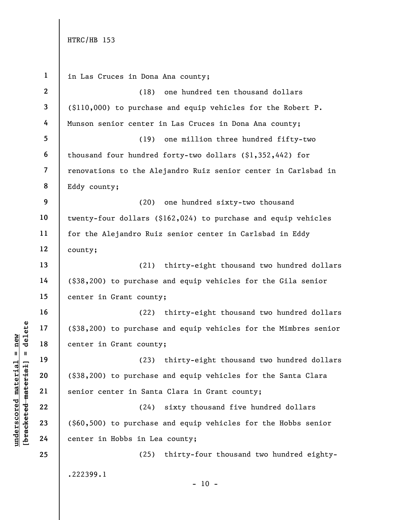under 17 (\$38,200) to purchase<br>
and 18 center in Grant count<br>
19 (23)<br>
deleted 19 (\$38,200) to purchase<br>
21 senior center in Sant<br>
22 (24)<br>
23 (\$60,500) to purchase<br>
24 center in Hobbs in Le 1 2 3 4 5 6 7 8 9 10 11 12 13 14 15 16 17 18 19 20 21 22 23 24 25 in Las Cruces in Dona Ana county; (18) one hundred ten thousand dollars (\$110,000) to purchase and equip vehicles for the Robert P. Munson senior center in Las Cruces in Dona Ana county; (19) one million three hundred fifty-two thousand four hundred forty-two dollars (\$1,352,442) for renovations to the Alejandro Ruiz senior center in Carlsbad in Eddy county; (20) one hundred sixty-two thousand twenty-four dollars (\$162,024) to purchase and equip vehicles for the Alejandro Ruiz senior center in Carlsbad in Eddy county; (21) thirty-eight thousand two hundred dollars (\$38,200) to purchase and equip vehicles for the Gila senior center in Grant county; (22) thirty-eight thousand two hundred dollars (\$38,200) to purchase and equip vehicles for the Mimbres senior center in Grant county; (23) thirty-eight thousand two hundred dollars (\$38,200) to purchase and equip vehicles for the Santa Clara senior center in Santa Clara in Grant county; (24) sixty thousand five hundred dollars (\$60,500) to purchase and equip vehicles for the Hobbs senior center in Hobbs in Lea county; (25) thirty-four thousand two hundred eighty- .222399.1  $- 10 -$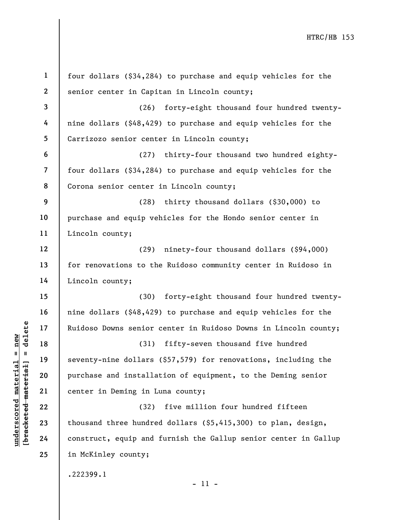| $\mathbf{1}$   | four dollars (\$34,284) to purchase and equip vehicles for the   |
|----------------|------------------------------------------------------------------|
| $\mathbf{2}$   | senior center in Capitan in Lincoln county;                      |
| $\mathbf{3}$   | forty-eight thousand four hundred twenty-<br>(26)                |
| 4              | nine dollars (\$48,429) to purchase and equip vehicles for the   |
| 5              | Carrizozo senior center in Lincoln county;                       |
| 6              | (27) thirty-four thousand two hundred eighty-                    |
| $\overline{7}$ | four dollars (\$34,284) to purchase and equip vehicles for the   |
| 8              | Corona senior center in Lincoln county;                          |
| 9              | thirty thousand dollars (\$30,000) to<br>(28)                    |
| 10             | purchase and equip vehicles for the Hondo senior center in       |
| 11             | Lincoln county;                                                  |
| 12             | (29) ninety-four thousand dollars (\$94,000)                     |
| 13             | for renovations to the Ruidoso community center in Ruidoso in    |
| 14             | Lincoln county;                                                  |
| 15             | forty-eight thousand four hundred twenty-<br>(30)                |
| 16             | nine dollars (\$48,429) to purchase and equip vehicles for the   |
| 17             | Ruidoso Downs senior center in Ruidoso Downs in Lincoln county;  |
| 18             | (31) fifty-seven thousand five hundred                           |
| 19             | seventy-nine dollars (\$57,579) for renovations, including the   |
| 20             | purchase and installation of equipment, to the Deming senior     |
| 21             | center in Deming in Luna county;                                 |
| 22             | five million four hundred fifteen<br>(32)                        |
| 23             | thousand three hundred dollars $(55, 415, 300)$ to plan, design, |
| 24             | construct, equip and furnish the Gallup senior center in Gallup  |
| 25             | in McKinley county;                                              |
|                | .222399.1                                                        |

- 11 -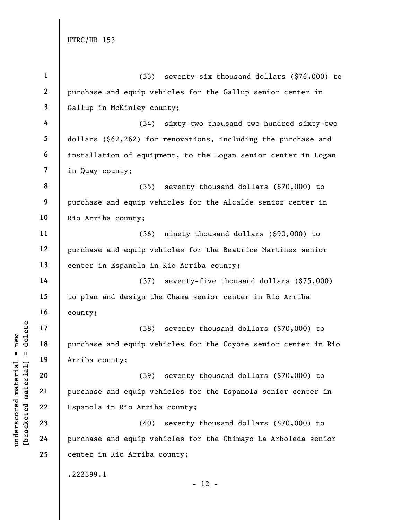|                                       | $\mathbf{1}$            | (33) seventy-six thousand dollars (\$76,000) to                   |
|---------------------------------------|-------------------------|-------------------------------------------------------------------|
|                                       | $\boldsymbol{2}$        | purchase and equip vehicles for the Gallup senior center in       |
|                                       | $\mathbf{3}$            | Gallup in McKinley county;                                        |
|                                       | 4                       | (34)<br>sixty-two thousand two hundred sixty-two                  |
|                                       | 5                       | dollars $(\$62, 262)$ for renovations, including the purchase and |
|                                       | 6                       | installation of equipment, to the Logan senior center in Logan    |
|                                       | $\overline{\mathbf{z}}$ | in Quay county;                                                   |
|                                       | 8                       | (35) seventy thousand dollars (\$70,000) to                       |
|                                       | 9                       | purchase and equip vehicles for the Alcalde senior center in      |
|                                       | 10                      | Rio Arriba county;                                                |
|                                       | 11                      | (36)<br>ninety thousand dollars (\$90,000) to                     |
|                                       | 12                      | purchase and equip vehicles for the Beatrice Martinez senior      |
|                                       | 13                      | center in Espanola in Rio Arriba county;                          |
|                                       | 14                      | (37)<br>seventy-five thousand dollars (\$75,000)                  |
|                                       | 15                      | to plan and design the Chama senior center in Rio Arriba          |
|                                       | 16                      | county;                                                           |
| delete                                | 17                      | (38) seventy thousand dollars (\$70,000) to                       |
| new                                   | 18                      | purchase and equip vehicles for the Coyote senior center in Rio   |
| Ш<br>- II                             | 19                      | Arriba county;                                                    |
| materia                               | 20                      | seventy thousand dollars (\$70,000) to<br>(39)                    |
| material                              | 21                      | purchase and equip vehicles for the Espanola senior center in     |
|                                       | 22                      | Espanola in Rio Arriba county;                                    |
| underscored<br>[ <del>bracketed</del> | 23                      | (40)<br>seventy thousand dollars (\$70,000) to                    |
|                                       | 24                      | purchase and equip vehicles for the Chimayo La Arboleda senior    |
|                                       | 25                      | center in Rio Arriba county;                                      |
|                                       |                         | .222399.1                                                         |
|                                       |                         | $-12 -$                                                           |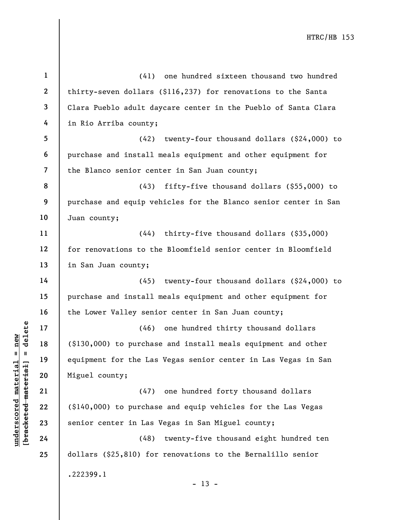|                                 | $\mathbf{1}$             | (41)<br>one hundred sixteen thousand two hundred                |
|---------------------------------|--------------------------|-----------------------------------------------------------------|
|                                 | $\mathbf{2}$             | thirty-seven dollars (\$116,237) for renovations to the Santa   |
|                                 | $\mathbf{3}$             | Clara Pueblo adult daycare center in the Pueblo of Santa Clara  |
|                                 | 4                        | in Rio Arriba county;                                           |
|                                 | 5                        | (42)<br>twenty-four thousand dollars (\$24,000) to              |
|                                 | 6                        | purchase and install meals equipment and other equipment for    |
|                                 | $\overline{\mathcal{L}}$ | the Blanco senior center in San Juan county;                    |
|                                 | 8                        | (43)<br>fifty-five thousand dollars $($ \$55,000) to            |
|                                 | 9                        | purchase and equip vehicles for the Blanco senior center in San |
|                                 | 10                       | Juan county;                                                    |
|                                 | 11                       | thirty-five thousand dollars (\$35,000)<br>(44)                 |
|                                 | 12                       | for renovations to the Bloomfield senior center in Bloomfield   |
|                                 | 13                       | in San Juan county;                                             |
|                                 | 14                       | (45)<br>twenty-four thousand dollars (\$24,000) to              |
|                                 | 15                       | purchase and install meals equipment and other equipment for    |
|                                 | 16                       | the Lower Valley senior center in San Juan county;              |
| delete                          | 17                       | (46)<br>one hundred thirty thousand dollars                     |
| new                             | 18                       | (\$130,000) to purchase and install meals equipment and other   |
| Ш                               | 19                       | equipment for the Las Vegas senior center in Las Vegas in San   |
| materia                         | 20                       | Miguel county;                                                  |
| [ <del>bracketed materia]</del> | 21                       | one hundred forty thousand dollars<br>(47)                      |
|                                 | 22                       | (\$140,000) to purchase and equip vehicles for the Las Vegas    |
| underscored                     | 23                       | senior center in Las Vegas in San Miguel county;                |
|                                 | 24                       | twenty-five thousand eight hundred ten<br>(48)                  |
|                                 | 25                       | dollars $(§25,§10)$ for renovations to the Bernalillo senior    |
|                                 |                          | .222399.1<br>$-13 -$                                            |
|                                 |                          |                                                                 |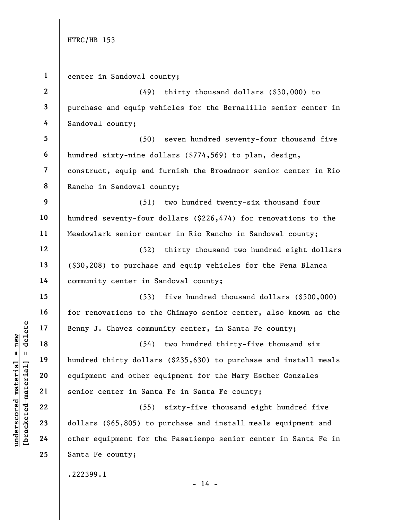underschilden material equipment and other equipment and other expected material and other equipment and other equipment for the same of the context of the context of the context of the context of the context of the contex 1 2 3 4 5 6 7 8 9 10 11 12 13 14 15 16 17 18 19 20 21 22 23 24 25 center in Sandoval county; (49) thirty thousand dollars (\$30,000) to purchase and equip vehicles for the Bernalillo senior center in Sandoval county; (50) seven hundred seventy-four thousand five hundred sixty-nine dollars (\$774,569) to plan, design, construct, equip and furnish the Broadmoor senior center in Rio Rancho in Sandoval county; (51) two hundred twenty-six thousand four hundred seventy-four dollars (\$226,474) for renovations to the Meadowlark senior center in Rio Rancho in Sandoval county; (52) thirty thousand two hundred eight dollars (\$30,208) to purchase and equip vehicles for the Pena Blanca community center in Sandoval county; (53) five hundred thousand dollars (\$500,000) for renovations to the Chimayo senior center, also known as the Benny J. Chavez community center, in Santa Fe county; (54) two hundred thirty-five thousand six hundred thirty dollars (\$235,630) to purchase and install meals equipment and other equipment for the Mary Esther Gonzales senior center in Santa Fe in Santa Fe county; (55) sixty-five thousand eight hundred five dollars (\$65,805) to purchase and install meals equipment and other equipment for the Pasatiempo senior center in Santa Fe in Santa Fe county; .222399.1

 $- 14 -$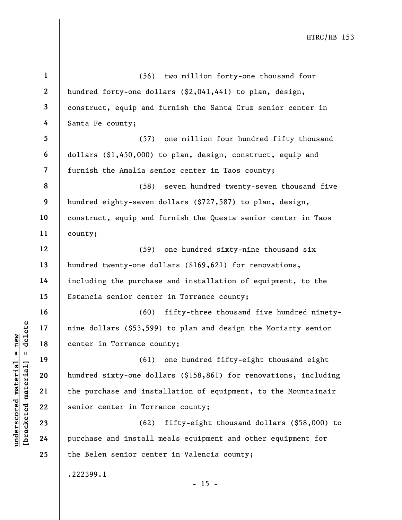underscore in Torrance core in Torrance core and install<br>
and the purchase and install<br>
with the purchase and install<br>
and the purchase and install<br>
23<br>
24<br>
Purchase and install 1 2 3 4 5 6 7 8 9 10 11 12 13 14 15 16 17 18 19 20 21 22 23 24 25 (56) two million forty-one thousand four hundred forty-one dollars (\$2,041,441) to plan, design, construct, equip and furnish the Santa Cruz senior center in Santa Fe county; (57) one million four hundred fifty thousand dollars (\$1,450,000) to plan, design, construct, equip and furnish the Amalia senior center in Taos county; (58) seven hundred twenty-seven thousand five hundred eighty-seven dollars (\$727,587) to plan, design, construct, equip and furnish the Questa senior center in Taos county; (59) one hundred sixty-nine thousand six hundred twenty-one dollars (\$169,621) for renovations, including the purchase and installation of equipment, to the Estancia senior center in Torrance county; (60) fifty-three thousand five hundred ninetynine dollars (\$53,599) to plan and design the Moriarty senior center in Torrance county; (61) one hundred fifty-eight thousand eight hundred sixty-one dollars (\$158,861) for renovations, including the purchase and installation of equipment, to the Mountainair senior center in Torrance county; (62) fifty-eight thousand dollars (\$58,000) to purchase and install meals equipment and other equipment for the Belen senior center in Valencia county; .222399.1  $- 15 -$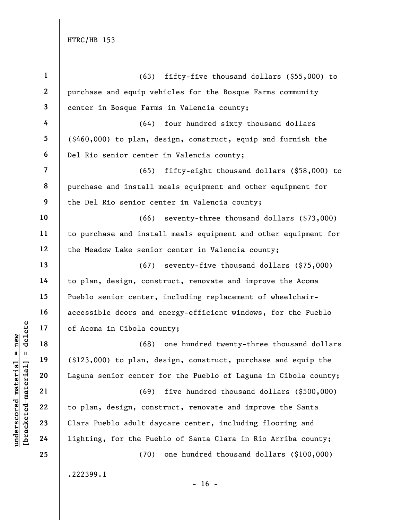| $\mathbf{1}$             | (63)<br>fifty-five thousand dollars (\$55,000) to                     |
|--------------------------|-----------------------------------------------------------------------|
| $\boldsymbol{2}$         | purchase and equip vehicles for the Bosque Farms community            |
| 3                        | center in Bosque Farms in Valencia county;                            |
| 4                        | (64) four hundred sixty thousand dollars                              |
| 5                        | $(\text{$}460,000)$ to plan, design, construct, equip and furnish the |
| 6                        | Del Rio senior center in Valencia county;                             |
| $\overline{\mathcal{L}}$ | (65) fifty-eight thousand dollars (\$58,000) to                       |
| 8                        | purchase and install meals equipment and other equipment for          |
| 9                        | the Del Rio senior center in Valencia county;                         |
| 10                       | $(66)$ seventy-three thousand dollars $(\$73,000)$                    |
| 11                       | to purchase and install meals equipment and other equipment for       |
| 12                       | the Meadow Lake senior center in Valencia county;                     |
| 13                       | $(67)$ seventy-five thousand dollars $(§75,000)$                      |
| 14                       | to plan, design, construct, renovate and improve the Acoma            |
| 15                       | Pueblo senior center, including replacement of wheelchair-            |
| 16                       | accessible doors and energy-efficient windows, for the Pueblo         |
| 17                       | of Acoma in Cibola county;                                            |
| 18                       | (68) one hundred twenty-three thousand dollars                        |
| 19                       | $(123,000)$ to plan, design, construct, purchase and equip the        |
| 20                       | Laguna senior center for the Pueblo of Laguna in Cibola county;       |
| 21                       | five hundred thousand dollars (\$500,000)<br>(69)                     |
| 22                       | to plan, design, construct, renovate and improve the Santa            |
| 23                       | Clara Pueblo adult daycare center, including flooring and             |
| 24                       | lighting, for the Pueblo of Santa Clara in Rio Arriba county;         |
| 25                       | one hundred thousand dollars (\$100,000)<br>(70)                      |
|                          | .222399.1<br>- 16 -                                                   |

 $\frac{\text{underscored material = new}}{\text{beac detected-matter}+\text{d}}$  = delete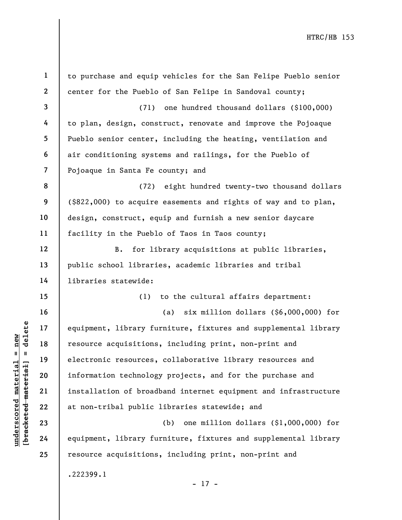|                                 | $\mathbf{1}$   | to purchase and equip vehicles for the San Felipe Pueblo senior    |
|---------------------------------|----------------|--------------------------------------------------------------------|
|                                 | $\mathbf{2}$   | center for the Pueblo of San Felipe in Sandoval county;            |
|                                 | 3              | (71) one hundred thousand dollars (\$100,000)                      |
|                                 | 4              | to plan, design, construct, renovate and improve the Pojoaque      |
|                                 | 5              | Pueblo senior center, including the heating, ventilation and       |
|                                 | 6              | air conditioning systems and railings, for the Pueblo of           |
|                                 | $\overline{7}$ | Pojoaque in Santa Fe county; and                                   |
|                                 | 8              | (72) eight hundred twenty-two thousand dollars                     |
|                                 | 9              | $($ \$822,000) to acquire easements and rights of way and to plan, |
|                                 | 10             | design, construct, equip and furnish a new senior daycare          |
|                                 | 11             | facility in the Pueblo of Taos in Taos county;                     |
|                                 | 12             | B.<br>for library acquisitions at public libraries,                |
|                                 | 13             | public school libraries, academic libraries and tribal             |
|                                 | 14             | libraries statewide:                                               |
|                                 | 15             | (1)<br>to the cultural affairs department:                         |
|                                 | 16             | six million dollars $(\$6,000,000)$ for<br>(a)                     |
| delete                          | 17             | equipment, library furniture, fixtures and supplemental library    |
| $=$ new                         | 18             | resource acquisitions, including print, non-print and              |
|                                 | 19             | electronic resources, collaborative library resources and          |
| underscored materia<br>material | 20             | information technology projects, and for the purchase and          |
|                                 | 21             | installation of broadband internet equipment and infrastructure    |
|                                 | 22             | at non-tribal public libraries statewide; and                      |
| [ <del>bracketed</del>          | 23             | one million dollars (\$1,000,000) for<br>(b)                       |
|                                 | 24             | equipment, library furniture, fixtures and supplemental library    |
|                                 | 25             | resource acquisitions, including print, non-print and              |
|                                 |                | .222399.1<br>$-17 -$                                               |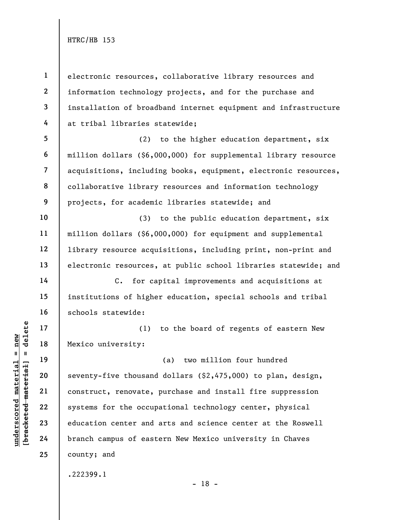1 2 3 4 electronic resources, collaborative library resources and information technology projects, and for the purchase and installation of broadband internet equipment and infrastructure at tribal libraries statewide;

5 6 7 8 9 (2) to the higher education department, six million dollars (\$6,000,000) for supplemental library resource acquisitions, including books, equipment, electronic resources, collaborative library resources and information technology projects, for academic libraries statewide; and

(3) to the public education department, six million dollars (\$6,000,000) for equipment and supplemental library resource acquisitions, including print, non-print and electronic resources, at public school libraries statewide; and

C. for capital improvements and acquisitions at institutions of higher education, special schools and tribal schools statewide:

(1) to the board of regents of eastern New Mexico university:

underscored material = new [bracketed material] = delete (a) two million four hundred seventy-five thousand dollars (\$2,475,000) to plan, design, construct, renovate, purchase and install fire suppression systems for the occupational technology center, physical education center and arts and science center at the Roswell branch campus of eastern New Mexico university in Chaves county; and

.222399.1

10

11

12

13

14

15

16

17

18

19

20

21

22

23

24

25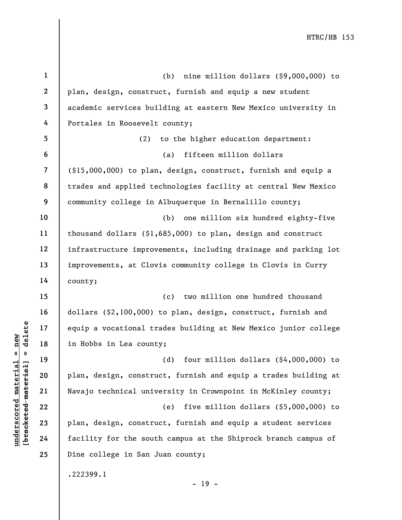|                                                | $\mathbf{1}$   | nine million dollars (\$9,000,000) to<br>(b)                    |
|------------------------------------------------|----------------|-----------------------------------------------------------------|
|                                                | $\mathbf{2}$   | plan, design, construct, furnish and equip a new student        |
|                                                | $\mathbf{3}$   | academic services building at eastern New Mexico university in  |
|                                                | 4              | Portales in Roosevelt county;                                   |
|                                                | 5              | (2)<br>to the higher education department:                      |
|                                                | 6              | fifteen million dollars<br>(a)                                  |
|                                                | $\overline{7}$ | $(15,000,000)$ to plan, design, construct, furnish and equip a  |
|                                                | 8              | trades and applied technologies facility at central New Mexico  |
|                                                | 9              | community college in Albuquerque in Bernalillo county;          |
|                                                | 10             | one million six hundred eighty-five<br>(b)                      |
|                                                | 11             | thousand dollars $(91,685,000)$ to plan, design and construct   |
|                                                | 12             | infrastructure improvements, including drainage and parking lot |
|                                                | 13             | improvements, at Clovis community college in Clovis in Curry    |
|                                                | 14             | county;                                                         |
|                                                | 15             | two million one hundred thousand<br>(c)                         |
|                                                | 16             | dollars (\$2,100,000) to plan, design, construct, furnish and   |
| delete                                         | 17             | equip a vocational trades building at New Mexico junior college |
| new                                            | 18             | in Hobbs in Lea county;                                         |
| II<br>H                                        | 19             | four million dollars $($ \$4,000,000) to<br>(d)                 |
| materia                                        | 20             | plan, design, construct, furnish and equip a trades building at |
|                                                | 21             | Navajo technical university in Crownpoint in McKinley county;   |
| [ <del>bracketed material</del><br>underscored | 22             | five million dollars $(55,000,000)$ to<br>(e)                   |
|                                                | 23             | plan, design, construct, furnish and equip a student services   |
|                                                | 24             | facility for the south campus at the Shiprock branch campus of  |
|                                                | 25             | Dine college in San Juan county;                                |
|                                                |                | .222399.1<br>$-19 -$                                            |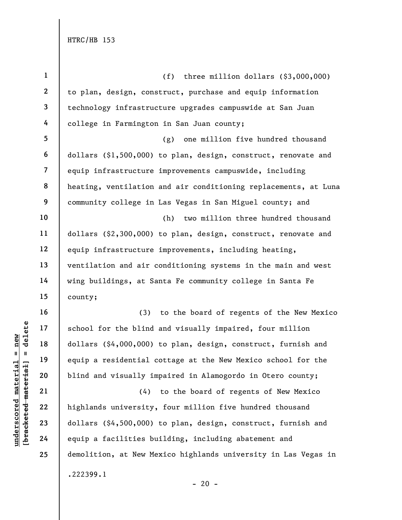| $\mathbf{1}$   | three million dollars $(§3,000,000)$<br>(f)                     |
|----------------|-----------------------------------------------------------------|
| $\mathbf{2}$   | to plan, design, construct, purchase and equip information      |
| $\mathbf{3}$   | technology infrastructure upgrades campuswide at San Juan       |
| 4              | college in Farmington in San Juan county;                       |
| 5              | (g)<br>one million five hundred thousand                        |
| 6              | dollars (\$1,500,000) to plan, design, construct, renovate and  |
| $\overline{7}$ | equip infrastructure improvements campuswide, including         |
| 8              | heating, ventilation and air conditioning replacements, at Luna |
| 9              | community college in Las Vegas in San Miguel county; and        |
| 10             | two million three hundred thousand<br>(h)                       |
| 11             | dollars $(§2,300,000)$ to plan, design, construct, renovate and |
| 12             | equip infrastructure improvements, including heating,           |
| 13             | ventilation and air conditioning systems in the main and west   |
| 14             | wing buildings, at Santa Fe community college in Santa Fe       |
| 15             | county;                                                         |
| 16             | (3)<br>to the board of regents of the New Mexico                |
| 17             | school for the blind and visually impaired, four million        |
| 18             | dollars (\$4,000,000) to plan, design, construct, furnish and   |
| 19             | equip a residential cottage at the New Mexico school for the    |
| 20             | blind and visually impaired in Alamogordo in Otero county;      |
| 21             | (4) to the board of regents of New Mexico                       |
| 22             | highlands university, four million five hundred thousand        |
| 23             | dollars (\$4,500,000) to plan, design, construct, furnish and   |
| 24             | equip a facilities building, including abatement and            |
| 25             | demolition, at New Mexico highlands university in Las Vegas in  |
|                | .222399.1<br>$-20 -$                                            |

 $\frac{\text{underscored material = new}}{\text{beac detected-matter}+\text{d}}$  = delete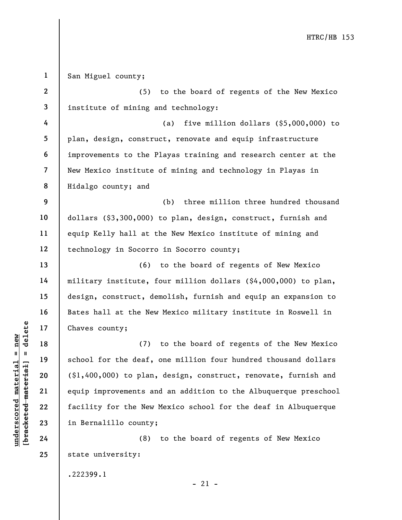understand material material material material and the school for the deaf,<br>
with 19 school for the deaf,<br>
equip improvements and tacility for the New 23 in Bernalillo county;<br>
24 (8) 1 2 3 4 5 6 7 8 9 10 11 12 13 14 15 16 17 18 19 20 21 22 23 24 25 San Miguel county; (5) to the board of regents of the New Mexico institute of mining and technology: (a) five million dollars (\$5,000,000) to plan, design, construct, renovate and equip infrastructure improvements to the Playas training and research center at the New Mexico institute of mining and technology in Playas in Hidalgo county; and (b) three million three hundred thousand dollars (\$3,300,000) to plan, design, construct, furnish and equip Kelly hall at the New Mexico institute of mining and technology in Socorro in Socorro county; (6) to the board of regents of New Mexico military institute, four million dollars (\$4,000,000) to plan, design, construct, demolish, furnish and equip an expansion to Bates hall at the New Mexico military institute in Roswell in Chaves county; (7) to the board of regents of the New Mexico school for the deaf, one million four hundred thousand dollars (\$1,400,000) to plan, design, construct, renovate, furnish and equip improvements and an addition to the Albuquerque preschool facility for the New Mexico school for the deaf in Albuquerque in Bernalillo county; (8) to the board of regents of New Mexico state university:

.222399.1

 $-21 -$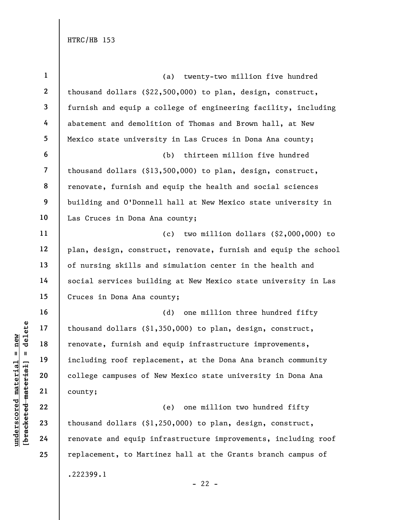underscored material material end of thousand dollars (\$1,<br>
renovate, furnish and<br>
including roof replace<br>  $\begin{array}{c|c} 20 & 21 & 22 \\ 22 & 23 & 24 \\ 24 & 25 & 26 \\ 26 & 27 & 28 \\ 27 & 28 & 29 \\ 28 & 29 & 20 \\ 21 & 22 & 24 \\ 22 & 23 & 24 \\ 23 & 24 &$ 1 2 3 4 5 6 7 8 9 10 11 12 13 14 15 16 17 18 19 20 21 22 23 24 25 (a) twenty-two million five hundred thousand dollars (\$22,500,000) to plan, design, construct, furnish and equip a college of engineering facility, including abatement and demolition of Thomas and Brown hall, at New Mexico state university in Las Cruces in Dona Ana county; (b) thirteen million five hundred thousand dollars (\$13,500,000) to plan, design, construct, renovate, furnish and equip the health and social sciences building and O'Donnell hall at New Mexico state university in Las Cruces in Dona Ana county; (c) two million dollars (\$2,000,000) to plan, design, construct, renovate, furnish and equip the school of nursing skills and simulation center in the health and social services building at New Mexico state university in Las Cruces in Dona Ana county; (d) one million three hundred fifty thousand dollars (\$1,350,000) to plan, design, construct, renovate, furnish and equip infrastructure improvements, including roof replacement, at the Dona Ana branch community college campuses of New Mexico state university in Dona Ana county; (e) one million two hundred fifty thousand dollars (\$1,250,000) to plan, design, construct, renovate and equip infrastructure improvements, including roof replacement, to Martinez hall at the Grants branch campus of .222399.1  $- 22 -$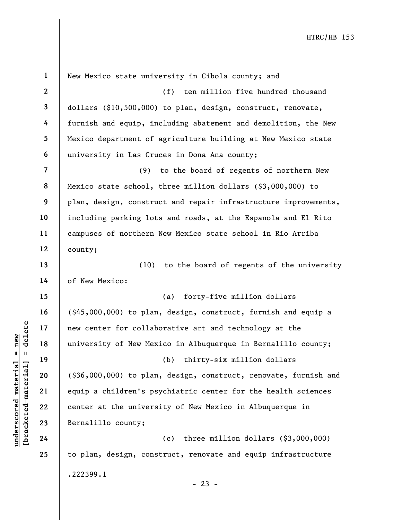|                                                | $\mathbf{1}$   | New Mexico state university in Cibola county; and                     |
|------------------------------------------------|----------------|-----------------------------------------------------------------------|
|                                                | $\mathbf{2}$   | ten million five hundred thousand<br>(f)                              |
|                                                | $\mathbf{3}$   | dollars (\$10,500,000) to plan, design, construct, renovate,          |
|                                                | 4              | furnish and equip, including abatement and demolition, the New        |
|                                                | 5              | Mexico department of agriculture building at New Mexico state         |
|                                                | 6              | university in Las Cruces in Dona Ana county;                          |
|                                                | $\overline{7}$ | (9)<br>to the board of regents of northern New                        |
|                                                | 8              | Mexico state school, three million dollars (\$3,000,000) to           |
|                                                | 9              | plan, design, construct and repair infrastructure improvements,       |
|                                                | 10             | including parking lots and roads, at the Espanola and El Rito         |
|                                                | 11             | campuses of northern New Mexico state school in Rio Arriba            |
|                                                | 12             | county;                                                               |
|                                                | 13             | (10) to the board of regents of the university                        |
|                                                | 14             | of New Mexico:                                                        |
|                                                | 15             | forty-five million dollars<br>(a)                                     |
|                                                | 16             | $(1, 45, 000, 000)$ to plan, design, construct, furnish and equip a   |
| delete                                         | 17             | new center for collaborative art and technology at the                |
| new                                            | 18             | university of New Mexico in Albuquerque in Bernalillo county;         |
| II                                             | 19             | (b)<br>thirty-six million dollars                                     |
| materia                                        | 20             | $(1, 36, 000, 000)$ to plan, design, construct, renovate, furnish and |
|                                                | 21             | equip a children's psychiatric center for the health sciences         |
|                                                | 22             | center at the university of New Mexico in Albuquerque in              |
| [ <del>bracketed materia]</del><br>underscored | 23             | Bernalillo county;                                                    |
|                                                | 24             | three million dollars $(§3,000,000)$<br>(c)                           |
|                                                | 25             | to plan, design, construct, renovate and equip infrastructure         |
|                                                |                | .222399.1<br>- 23 -                                                   |
|                                                |                |                                                                       |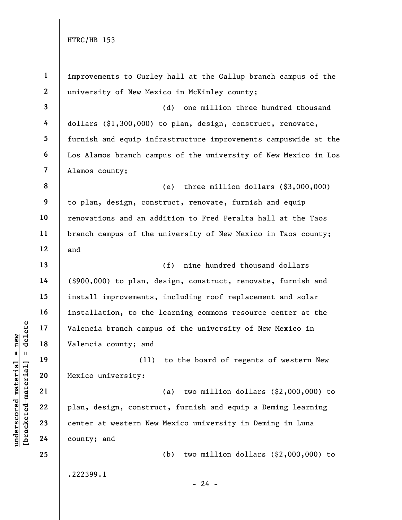underscored material external transitions of the same of the same of the same of the same of the same of the same of the same of the same of the same of the same of the same of the same of the same of the same of the same 1 2 3 4 5 6 7 8 9 10 11 12 13 14 15 16 17 18 19 20 21 22 23 24 25 improvements to Gurley hall at the Gallup branch campus of the university of New Mexico in McKinley county; (d) one million three hundred thousand dollars (\$1,300,000) to plan, design, construct, renovate, furnish and equip infrastructure improvements campuswide at the Los Alamos branch campus of the university of New Mexico in Los Alamos county; (e) three million dollars (\$3,000,000) to plan, design, construct, renovate, furnish and equip renovations and an addition to Fred Peralta hall at the Taos branch campus of the university of New Mexico in Taos county; and (f) nine hundred thousand dollars (\$900,000) to plan, design, construct, renovate, furnish and install improvements, including roof replacement and solar installation, to the learning commons resource center at the Valencia branch campus of the university of New Mexico in Valencia county; and (11) to the board of regents of western New Mexico university: (a) two million dollars (\$2,000,000) to plan, design, construct, furnish and equip a Deming learning center at western New Mexico university in Deming in Luna county; and (b) two million dollars (\$2,000,000) to .222399.1

 $- 24 -$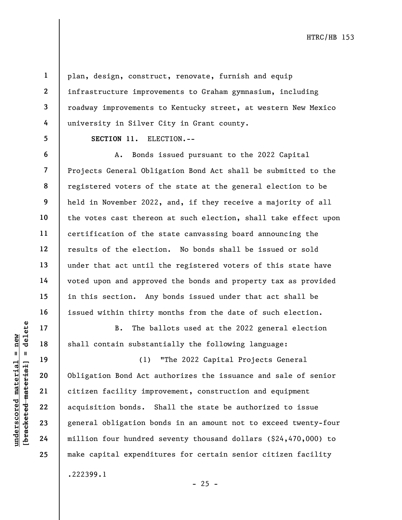1 2

3

4

5

6

7

8

9

10

11

12

13

14

15

16

17

18

19

20

21

22

23

24

25

plan, design, construct, renovate, furnish and equip infrastructure improvements to Graham gymnasium, including roadway improvements to Kentucky street, at western New Mexico university in Silver City in Grant county.

SECTION 11. ELECTION.--

A. Bonds issued pursuant to the 2022 Capital Projects General Obligation Bond Act shall be submitted to the registered voters of the state at the general election to be held in November 2022, and, if they receive a majority of all the votes cast thereon at such election, shall take effect upon certification of the state canvassing board announcing the results of the election. No bonds shall be issued or sold under that act until the registered voters of this state have voted upon and approved the bonds and property tax as provided in this section. Any bonds issued under that act shall be issued within thirty months from the date of such election.

B. The ballots used at the 2022 general election shall contain substantially the following language:

underscored material = new [bracketed material] = delete (1) "The 2022 Capital Projects General Obligation Bond Act authorizes the issuance and sale of senior citizen facility improvement, construction and equipment acquisition bonds. Shall the state be authorized to issue general obligation bonds in an amount not to exceed twenty-four million four hundred seventy thousand dollars (\$24,470,000) to make capital expenditures for certain senior citizen facility .222399.1

 $- 25 -$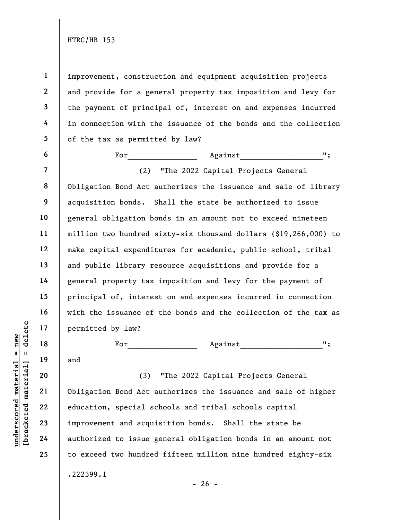1

2

3

4

5

6

7

8

9

10

11

12

13

14

15

16

17

18

19

and

20

21

22

23

24

25

improvement, construction and equipment acquisition projects and provide for a general property tax imposition and levy for the payment of principal of, interest on and expenses incurred in connection with the issuance of the bonds and the collection of the tax as permitted by law?

For\_\_\_\_\_\_\_\_\_\_\_\_\_\_\_\_ Against\_\_\_\_\_\_\_\_\_\_\_\_\_\_\_\_\_\_\_"; (2) "The 2022 Capital Projects General Obligation Bond Act authorizes the issuance and sale of library acquisition bonds. Shall the state be authorized to issue general obligation bonds in an amount not to exceed nineteen million two hundred sixty-six thousand dollars (\$19,266,000) to make capital expenditures for academic, public school, tribal and public library resource acquisitions and provide for a general property tax imposition and levy for the payment of principal of, interest on and expenses incurred in connection with the issuance of the bonds and the collection of the tax as permitted by law?

For\_\_\_\_\_\_\_\_\_\_\_\_\_\_\_\_ Against\_\_\_\_\_\_\_\_\_\_\_\_\_\_\_\_\_\_\_";

understand material material scores<br>
we have the material of the same of the same of the same of the same of the same of the same of the same of the same of the same of the same of the same of the same of the same of the s (3) "The 2022 Capital Projects General Obligation Bond Act authorizes the issuance and sale of higher education, special schools and tribal schools capital improvement and acquisition bonds. Shall the state be authorized to issue general obligation bonds in an amount not to exceed two hundred fifteen million nine hundred eighty-six .222399.1

 $- 26 -$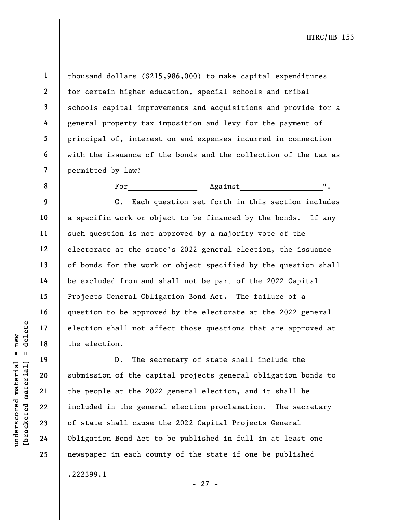thousand dollars (\$215,986,000) to make capital expenditures for certain higher education, special schools and tribal schools capital improvements and acquisitions and provide for a general property tax imposition and levy for the payment of principal of, interest on and expenses incurred in connection with the issuance of the bonds and the collection of the tax as permitted by law?

For Against  $\blacksquare$ .

C. Each question set forth in this section includes a specific work or object to be financed by the bonds. If any such question is not approved by a majority vote of the electorate at the state's 2022 general election, the issuance of bonds for the work or object specified by the question shall be excluded from and shall not be part of the 2022 Capital Projects General Obligation Bond Act. The failure of a question to be approved by the electorate at the 2022 general election shall not affect those questions that are approved at the election.

understand material material experience in the election.<br>
The set of the election.<br>
D. The set of the cap<br>
we wanted material cause<br>
22 included in the gener<br>
23 of state shall cause<br>
24 Obligation Bond Act to D. The secretary of state shall include the submission of the capital projects general obligation bonds to the people at the 2022 general election, and it shall be included in the general election proclamation. The secretary of state shall cause the 2022 Capital Projects General Obligation Bond Act to be published in full in at least one newspaper in each county of the state if one be published .222399.1

1

2

3

4

5

6

7

8

9

10

11

12

13

14

15

16

17

18

19

20

21

22

23

24

25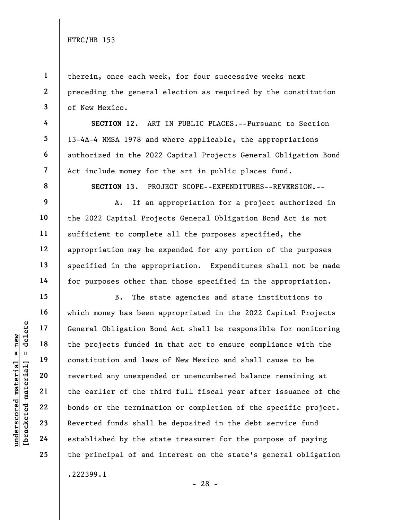1

2

3

4

5

6

7

8

9

10

11

12

13

14

15

16

17

18

19

20

21

22

23

24

25

therein, once each week, for four successive weeks next preceding the general election as required by the constitution of New Mexico.

SECTION 12. ART IN PUBLIC PLACES.--Pursuant to Section 13-4A-4 NMSA 1978 and where applicable, the appropriations authorized in the 2022 Capital Projects General Obligation Bond Act include money for the art in public places fund.

SECTION 13. PROJECT SCOPE--EXPENDITURES--REVERSION.--

A. If an appropriation for a project authorized in the 2022 Capital Projects General Obligation Bond Act is not sufficient to complete all the purposes specified, the appropriation may be expended for any portion of the purposes specified in the appropriation. Expenditures shall not be made for purposes other than those specified in the appropriation.

under 17<br>
= 18<br>
= 18<br>
= 19<br>
= 19<br>
= 19<br>
= 19<br>
= 19<br>
= 19<br>
= 19<br>
= 19<br>
= 19<br>
= 19<br>
= 19<br>
= 19<br>
= 19<br>
= 19<br>
= 19<br>
= 19<br>
= 19<br>
= 19<br>
= 19<br>
= 19<br>
= 19<br>
= 19<br>
= 19<br>
= 19<br>
= 19<br>
= 19<br>
= 19<br>
= 19<br>
= 19<br>
= 19<br>
= 19<br>
= 19<br>
= 19<br>
= B. The state agencies and state institutions to which money has been appropriated in the 2022 Capital Projects General Obligation Bond Act shall be responsible for monitoring the projects funded in that act to ensure compliance with the constitution and laws of New Mexico and shall cause to be reverted any unexpended or unencumbered balance remaining at the earlier of the third full fiscal year after issuance of the bonds or the termination or completion of the specific project. Reverted funds shall be deposited in the debt service fund established by the state treasurer for the purpose of paying the principal of and interest on the state's general obligation .222399.1

- 28 -